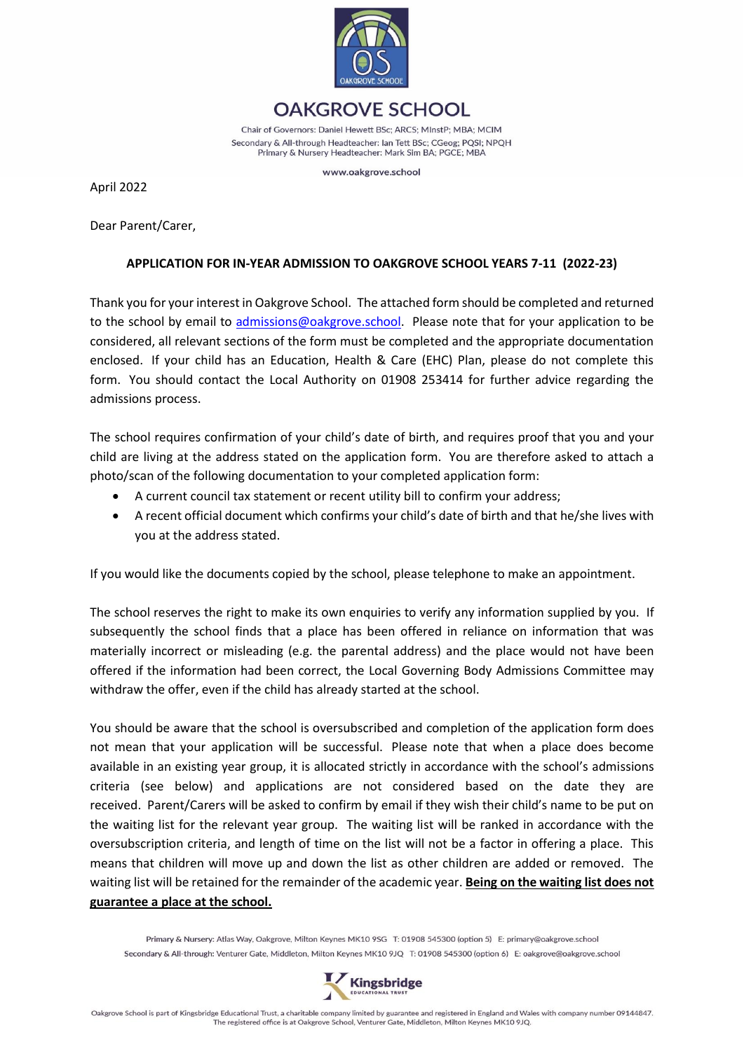

**OAKGROVE SCHOOL** Chair of Governors: Daniel Hewett BSc; ARCS; MInstP; MBA; MCIM Secondary & All-through Headteacher: Ian Tett BSc; CGeog; PQSI; NPQH Primary & Nursery Headteacher: Mark Sim BA; PGCE; MBA

www.oakgrove.school

April 2022

Dear Parent/Carer,

### **APPLICATION FOR IN-YEAR ADMISSION TO OAKGROVE SCHOOL YEARS 7-11 (2022-23)**

Thank you for your interest in Oakgrove School. The attached form should be completed and returned to the school by email to [admissions@oakgrove.school.](mailto:admissions@oakgrove.school) Please note that for your application to be considered, all relevant sections of the form must be completed and the appropriate documentation enclosed. If your child has an Education, Health & Care (EHC) Plan, please do not complete this form. You should contact the Local Authority on 01908 253414 for further advice regarding the admissions process.

The school requires confirmation of your child's date of birth, and requires proof that you and your child are living at the address stated on the application form. You are therefore asked to attach a photo/scan of the following documentation to your completed application form:

- A current council tax statement or recent utility bill to confirm your address;
- A recent official document which confirms your child's date of birth and that he/she lives with you at the address stated.

If you would like the documents copied by the school, please telephone to make an appointment.

The school reserves the right to make its own enquiries to verify any information supplied by you. If subsequently the school finds that a place has been offered in reliance on information that was materially incorrect or misleading (e.g. the parental address) and the place would not have been offered if the information had been correct, the Local Governing Body Admissions Committee may withdraw the offer, even if the child has already started at the school.

You should be aware that the school is oversubscribed and completion of the application form does not mean that your application will be successful. Please note that when a place does become available in an existing year group, it is allocated strictly in accordance with the school's admissions criteria (see below) and applications are not considered based on the date they are received. Parent/Carers will be asked to confirm by email if they wish their child's name to be put on the waiting list for the relevant year group. The waiting list will be ranked in accordance with the oversubscription criteria, and length of time on the list will not be a factor in offering a place. This means that children will move up and down the list as other children are added or removed. The waiting list will be retained for the remainder of the academic year. **Being on the waiting list does not guarantee a place at the school.** 

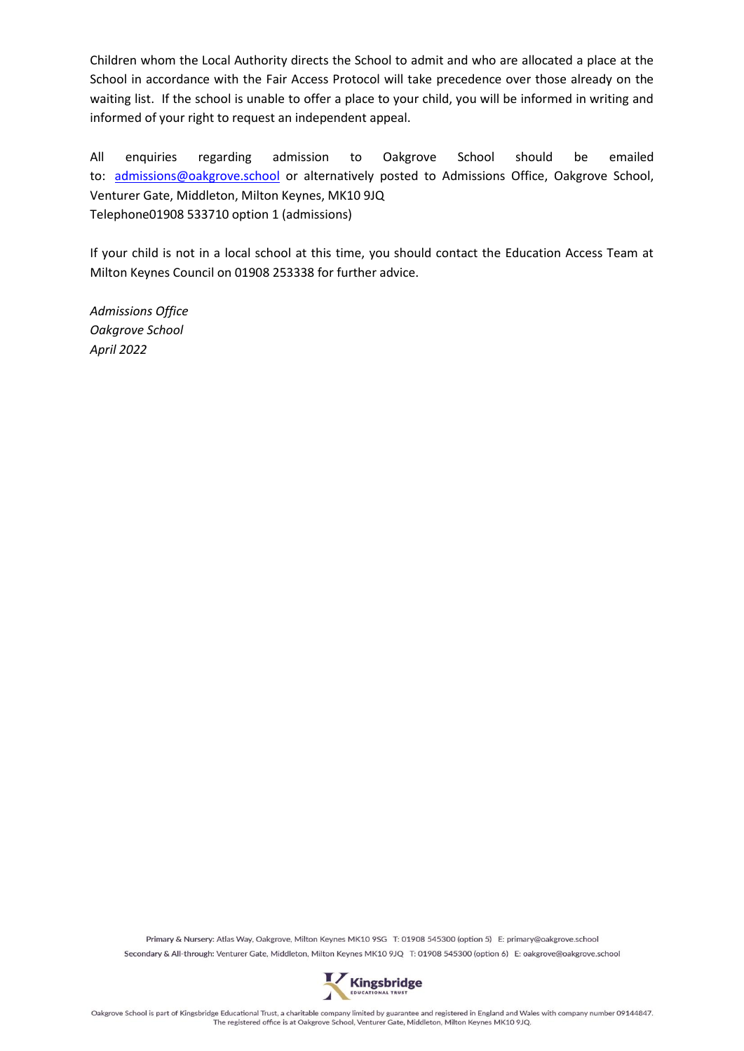Children whom the Local Authority directs the School to admit and who are allocated a place at the School in accordance with the Fair Access Protocol will take precedence over those already on the waiting list. If the school is unable to offer a place to your child, you will be informed in writing and informed of your right to request an independent appeal.

All enquiries regarding admission to Oakgrove School should be emailed to: [admissions@oakgrove.school](mailto:admissions@oakgrove.school) or alternatively posted to Admissions Office, Oakgrove School, Venturer Gate, Middleton, Milton Keynes, MK10 9JQ Telephone01908 533710 option 1 (admissions)

If your child is not in a local school at this time, you should contact the Education Access Team at Milton Keynes Council on 01908 253338 for further advice.

*Admissions Office Oakgrove School April 2022*

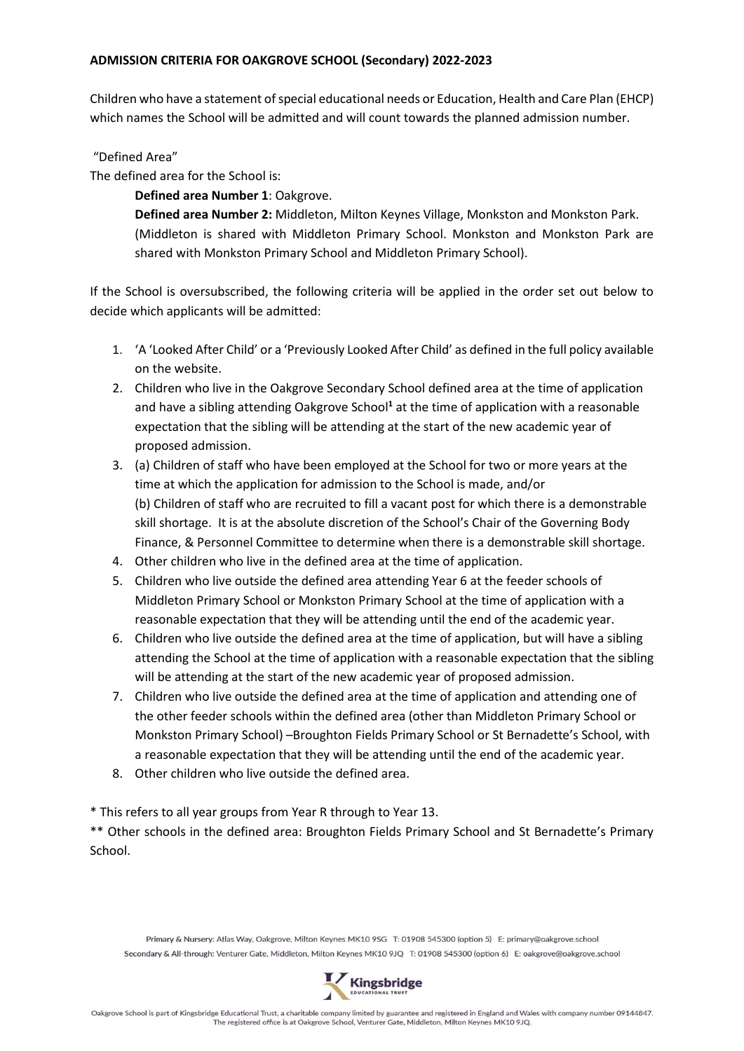#### **ADMISSION CRITERIA FOR OAKGROVE SCHOOL (Secondary) 2022-2023**

Children who have a statement of special educational needs or Education, Health and Care Plan (EHCP) which names the School will be admitted and will count towards the planned admission number.

### "Defined Area"

The defined area for the School is:

**Defined area Number 1**: Oakgrove.

**Defined area Number 2:** Middleton, Milton Keynes Village, Monkston and Monkston Park. (Middleton is shared with Middleton Primary School. Monkston and Monkston Park are shared with Monkston Primary School and Middleton Primary School).

If the School is oversubscribed, the following criteria will be applied in the order set out below to decide which applicants will be admitted:

- 1. 'A 'Looked After Child' or a 'Previously Looked After Child' as defined in the full policy available on the website.
- 2. Children who live in the Oakgrove Secondary School defined area at the time of application and have a sibling attending Oakgrove School**<sup>1</sup>** at the time of application with a reasonable expectation that the sibling will be attending at the start of the new academic year of proposed admission.
- 3. (a) Children of staff who have been employed at the School for two or more years at the time at which the application for admission to the School is made, and/or (b) Children of staff who are recruited to fill a vacant post for which there is a demonstrable skill shortage. It is at the absolute discretion of the School's Chair of the Governing Body Finance, & Personnel Committee to determine when there is a demonstrable skill shortage.
- 4. Other children who live in the defined area at the time of application.
- 5. Children who live outside the defined area attending Year 6 at the feeder schools of Middleton Primary School or Monkston Primary School at the time of application with a reasonable expectation that they will be attending until the end of the academic year.
- 6. Children who live outside the defined area at the time of application, but will have a sibling attending the School at the time of application with a reasonable expectation that the sibling will be attending at the start of the new academic year of proposed admission.
- 7. Children who live outside the defined area at the time of application and attending one of the other feeder schools within the defined area (other than Middleton Primary School or Monkston Primary School) –Broughton Fields Primary School or St Bernadette's School, with a reasonable expectation that they will be attending until the end of the academic year.
- 8. Other children who live outside the defined area.

\* This refers to all year groups from Year R through to Year 13.

\*\* Other schools in the defined area: Broughton Fields Primary School and St Bernadette's Primary School.

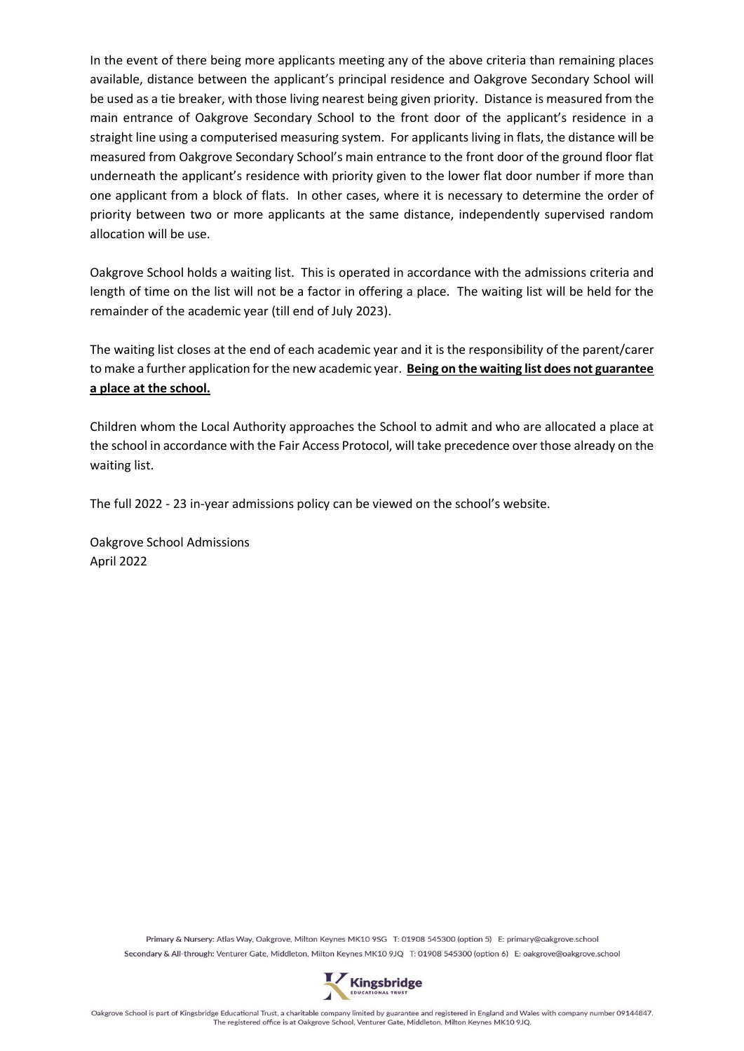In the event of there being more applicants meeting any of the above criteria than remaining places available, distance between the applicant's principal residence and Oakgrove Secondary School will be used as a tie breaker, with those living nearest being given priority. Distance is measured from the main entrance of Oakgrove Secondary School to the front door of the applicant's residence in a straight line using a computerised measuring system. For applicants living in flats, the distance will be measured from Oakgrove Secondary School's main entrance to the front door of the ground floor flat underneath the applicant's residence with priority given to the lower flat door number if more than one applicant from a block of flats. In other cases, where it is necessary to determine the order of priority between two or more applicants at the same distance, independently supervised random allocation will be use.

Oakgrove School holds a waiting list. This is operated in accordance with the admissions criteria and length of time on the list will not be a factor in offering a place. The waiting list will be held for the remainder of the academic year (till end of July 2023).

The waiting list closes at the end of each academic year and it is the responsibility of the parent/carer to make a further application for the new academic year. **Being on the waiting list does not guarantee a place at the school.**

Children whom the Local Authority approaches the School to admit and who are allocated a place at the school in accordance with the Fair Access Protocol, will take precedence over those already on the waiting list.

The full 2022 - 23 in-year admissions policy can be viewed on the school's website.

Oakgrove School Admissions April 2022

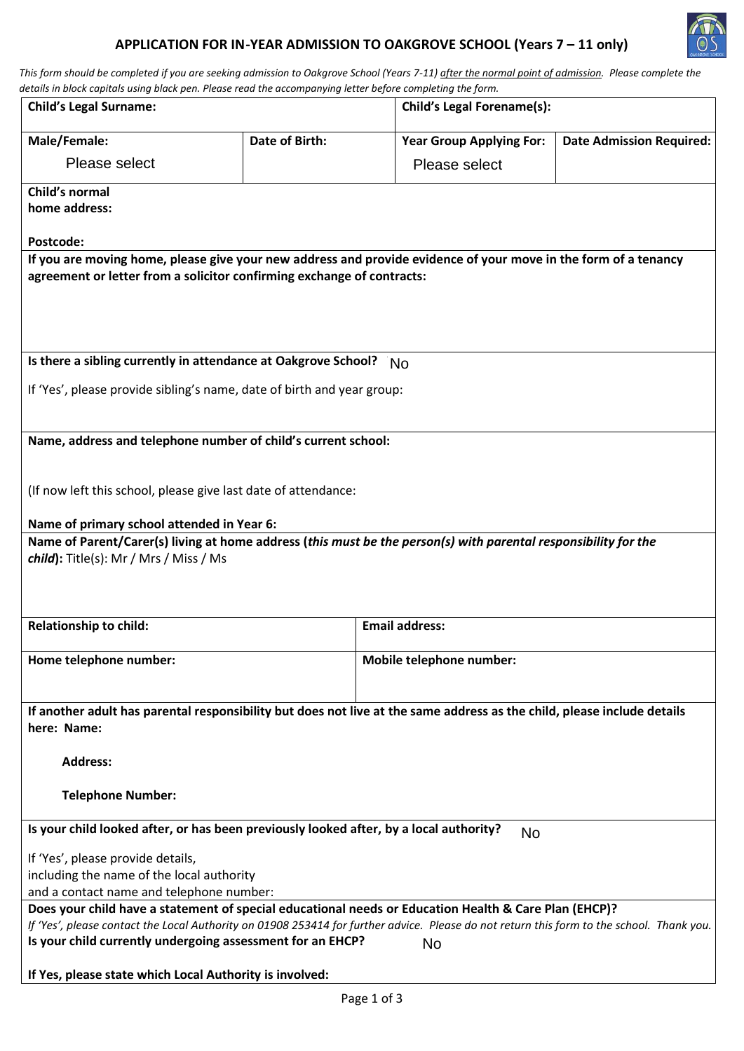# **APPLICATION FOR IN-YEAR ADMISSION TO OAKGROVE SCHOOL (Years 7 – 11 only)**



*This form should be completed if you are seeking admission to Oakgrove School (Years 7-11) after the normal point of admission. Please complete the* 

| details in block capitals using black pen. Please read the accompanying letter before completing the form.                                                                                                                                         |                                   |                                 |                                 |  |
|----------------------------------------------------------------------------------------------------------------------------------------------------------------------------------------------------------------------------------------------------|-----------------------------------|---------------------------------|---------------------------------|--|
| <b>Child's Legal Surname:</b>                                                                                                                                                                                                                      | <b>Child's Legal Forename(s):</b> |                                 |                                 |  |
| Male/Female:                                                                                                                                                                                                                                       | <b>Date of Birth:</b>             | <b>Year Group Applying For:</b> | <b>Date Admission Required:</b> |  |
| Please select                                                                                                                                                                                                                                      |                                   | Please select                   |                                 |  |
| Child's normal                                                                                                                                                                                                                                     |                                   |                                 |                                 |  |
| home address:                                                                                                                                                                                                                                      |                                   |                                 |                                 |  |
| Postcode:                                                                                                                                                                                                                                          |                                   |                                 |                                 |  |
| If you are moving home, please give your new address and provide evidence of your move in the form of a tenancy<br>agreement or letter from a solicitor confirming exchange of contracts:                                                          |                                   |                                 |                                 |  |
| Is there a sibling currently in attendance at Oakgrove School?                                                                                                                                                                                     |                                   | <b>No</b>                       |                                 |  |
|                                                                                                                                                                                                                                                    |                                   |                                 |                                 |  |
| If 'Yes', please provide sibling's name, date of birth and year group:                                                                                                                                                                             |                                   |                                 |                                 |  |
|                                                                                                                                                                                                                                                    |                                   |                                 |                                 |  |
| Name, address and telephone number of child's current school:                                                                                                                                                                                      |                                   |                                 |                                 |  |
| (If now left this school, please give last date of attendance:<br>Name of primary school attended in Year 6:                                                                                                                                       |                                   |                                 |                                 |  |
| Name of Parent/Carer(s) living at home address (this must be the person(s) with parental responsibility for the                                                                                                                                    |                                   |                                 |                                 |  |
| $child$ : Title(s): Mr / Mrs / Miss / Ms                                                                                                                                                                                                           |                                   |                                 |                                 |  |
|                                                                                                                                                                                                                                                    |                                   |                                 |                                 |  |
| <b>Relationship to child:</b>                                                                                                                                                                                                                      |                                   | <b>Email address:</b>           |                                 |  |
| Home telephone number:                                                                                                                                                                                                                             |                                   | Mobile telephone number:        |                                 |  |
|                                                                                                                                                                                                                                                    |                                   |                                 |                                 |  |
| If another adult has parental responsibility but does not live at the same address as the child, please include details<br>here: Name:                                                                                                             |                                   |                                 |                                 |  |
| <b>Address:</b>                                                                                                                                                                                                                                    |                                   |                                 |                                 |  |
| <b>Telephone Number:</b>                                                                                                                                                                                                                           |                                   |                                 |                                 |  |
| Is your child looked after, or has been previously looked after, by a local authority?                                                                                                                                                             |                                   | No                              |                                 |  |
| If 'Yes', please provide details,                                                                                                                                                                                                                  |                                   |                                 |                                 |  |
| including the name of the local authority                                                                                                                                                                                                          |                                   |                                 |                                 |  |
| and a contact name and telephone number:                                                                                                                                                                                                           |                                   |                                 |                                 |  |
| Does your child have a statement of special educational needs or Education Health & Care Plan (EHCP)?<br>If 'Yes', please contact the Local Authority on 01908 253414 for further advice. Please do not return this form to the school. Thank you. |                                   |                                 |                                 |  |
| Is your child currently undergoing assessment for an EHCP?                                                                                                                                                                                         |                                   | No                              |                                 |  |
| If Yes, please state which Local Authority is involved:                                                                                                                                                                                            |                                   |                                 |                                 |  |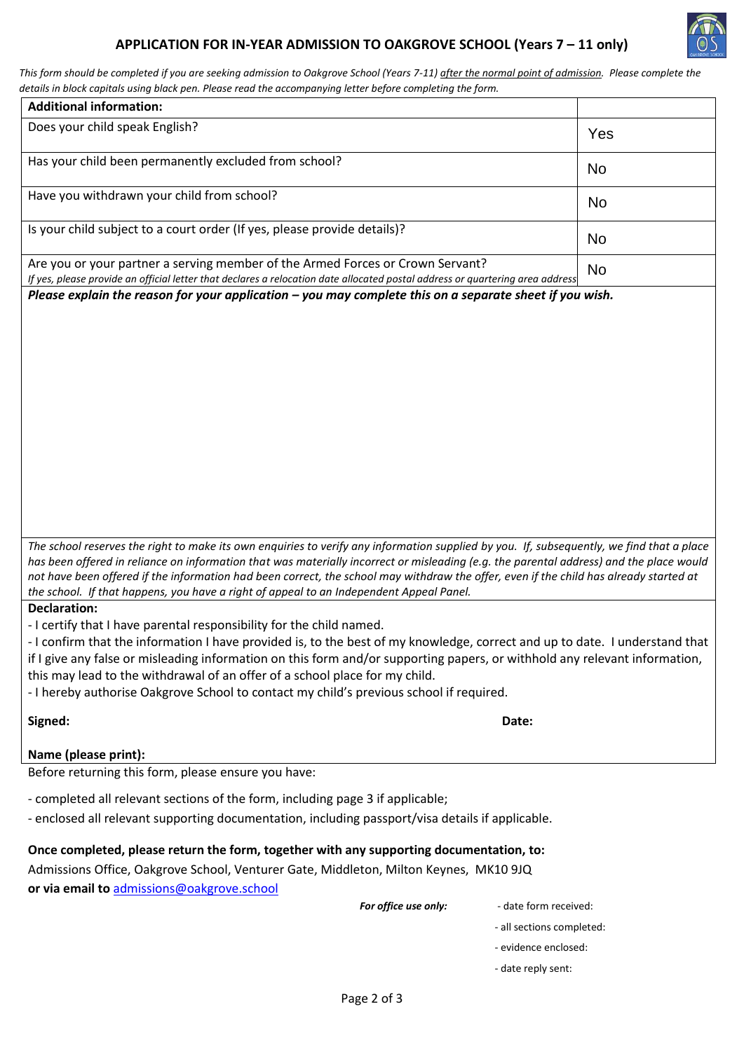# **APPLICATION FOR IN-YEAR ADMISSION TO OAKGROVE SCHOOL (Years 7 – 11 only)**



*This form should be completed if you are seeking admission to Oakgrove School (Years 7-11) after the normal point of admission. Please complete the details in block capitals using black pen. Please read the accompanying letter before completing the form.*

| <b>Additional information:</b>                                                                                                                                                                                                                                                                                                                                                                                                                                                                                                     |                           |  |
|------------------------------------------------------------------------------------------------------------------------------------------------------------------------------------------------------------------------------------------------------------------------------------------------------------------------------------------------------------------------------------------------------------------------------------------------------------------------------------------------------------------------------------|---------------------------|--|
| Does your child speak English?                                                                                                                                                                                                                                                                                                                                                                                                                                                                                                     | Yes                       |  |
| Has your child been permanently excluded from school?                                                                                                                                                                                                                                                                                                                                                                                                                                                                              | No                        |  |
| Have you withdrawn your child from school?                                                                                                                                                                                                                                                                                                                                                                                                                                                                                         | <b>No</b>                 |  |
| Is your child subject to a court order (If yes, please provide details)?                                                                                                                                                                                                                                                                                                                                                                                                                                                           | <b>No</b>                 |  |
| Are you or your partner a serving member of the Armed Forces or Crown Servant?<br>If yes, please provide an official letter that declares a relocation date allocated postal address or quartering area address                                                                                                                                                                                                                                                                                                                    | No                        |  |
| Please explain the reason for your application - you may complete this on a separate sheet if you wish.                                                                                                                                                                                                                                                                                                                                                                                                                            |                           |  |
| The school reserves the right to make its own enquiries to verify any information supplied by you. If, subsequently, we find that a place                                                                                                                                                                                                                                                                                                                                                                                          |                           |  |
| has been offered in reliance on information that was materially incorrect or misleading (e.g. the parental address) and the place would<br>not have been offered if the information had been correct, the school may withdraw the offer, even if the child has already started at<br>the school. If that happens, you have a right of appeal to an Independent Appeal Panel.                                                                                                                                                       |                           |  |
| <b>Declaration:</b><br>- I certify that I have parental responsibility for the child named.<br>- I confirm that the information I have provided is, to the best of my knowledge, correct and up to date. I understand that<br>if I give any false or misleading information on this form and/or supporting papers, or withhold any relevant information,<br>this may lead to the withdrawal of an offer of a school place for my child.<br>- I hereby authorise Oakgrove School to contact my child's previous school if required. |                           |  |
| Signed:                                                                                                                                                                                                                                                                                                                                                                                                                                                                                                                            | Date:                     |  |
| Name (please print):                                                                                                                                                                                                                                                                                                                                                                                                                                                                                                               |                           |  |
| Before returning this form, please ensure you have:                                                                                                                                                                                                                                                                                                                                                                                                                                                                                |                           |  |
| - completed all relevant sections of the form, including page 3 if applicable;<br>- enclosed all relevant supporting documentation, including passport/visa details if applicable.                                                                                                                                                                                                                                                                                                                                                 |                           |  |
| Once completed, please return the form, together with any supporting documentation, to:<br>Admissions Office, Oakgrove School, Venturer Gate, Middleton, Milton Keynes, MK10 9JQ<br>or via email to admissions@oakgrove.school                                                                                                                                                                                                                                                                                                     |                           |  |
| For office use only:                                                                                                                                                                                                                                                                                                                                                                                                                                                                                                               | - date form received:     |  |
|                                                                                                                                                                                                                                                                                                                                                                                                                                                                                                                                    | - all sections completed: |  |
|                                                                                                                                                                                                                                                                                                                                                                                                                                                                                                                                    |                           |  |
|                                                                                                                                                                                                                                                                                                                                                                                                                                                                                                                                    | - evidence enclosed:      |  |